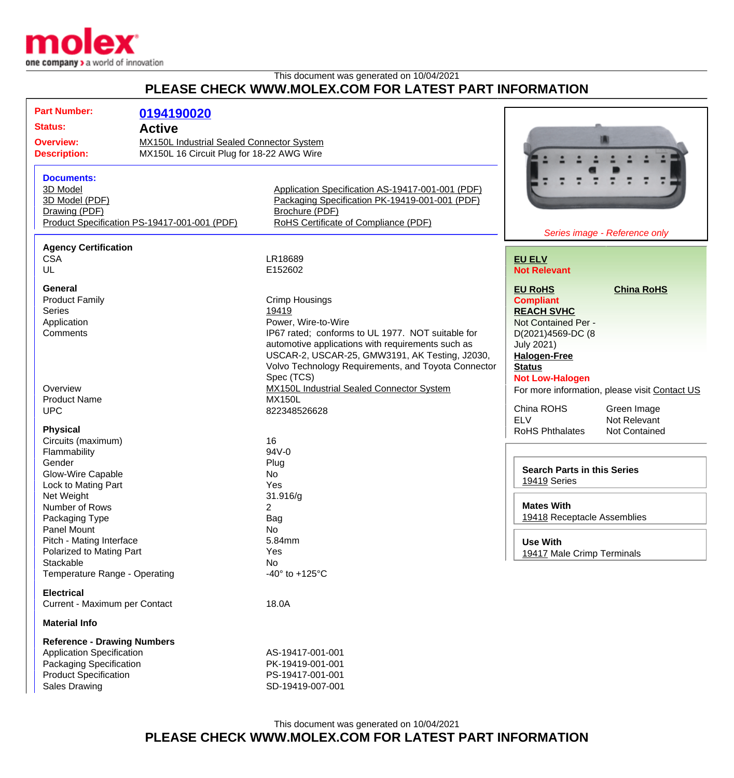

## This document was generated on 10/04/2021 **PLEASE CHECK WWW.MOLEX.COM FOR LATEST PART INFORMATION**

| <b>Part Number:</b>                                                  | 0194190020                                   |                                                     |                                    |                                               |  |
|----------------------------------------------------------------------|----------------------------------------------|-----------------------------------------------------|------------------------------------|-----------------------------------------------|--|
| <b>Status:</b><br><b>Active</b>                                      |                                              |                                                     |                                    |                                               |  |
| <b>MX150L Industrial Sealed Connector System</b><br><b>Overview:</b> |                                              |                                                     |                                    |                                               |  |
| <b>Description:</b>                                                  | MX150L 16 Circuit Plug for 18-22 AWG Wire    |                                                     |                                    |                                               |  |
|                                                                      |                                              |                                                     |                                    |                                               |  |
| <b>Documents:</b>                                                    |                                              |                                                     |                                    |                                               |  |
| 3D Model                                                             |                                              |                                                     |                                    |                                               |  |
|                                                                      |                                              | Application Specification AS-19417-001-001 (PDF)    |                                    |                                               |  |
| 3D Model (PDF)                                                       |                                              | Packaging Specification PK-19419-001-001 (PDF)      |                                    |                                               |  |
| Drawing (PDF)                                                        |                                              | Brochure (PDF)                                      |                                    |                                               |  |
|                                                                      | Product Specification PS-19417-001-001 (PDF) | RoHS Certificate of Compliance (PDF)                |                                    |                                               |  |
|                                                                      |                                              |                                                     |                                    | Series image - Reference only                 |  |
| <b>Agency Certification</b>                                          |                                              |                                                     |                                    |                                               |  |
| <b>CSA</b>                                                           |                                              | LR18689                                             | <b>EU ELV</b>                      |                                               |  |
| UL                                                                   |                                              | E152602                                             | <b>Not Relevant</b>                |                                               |  |
|                                                                      |                                              |                                                     |                                    |                                               |  |
| <b>General</b>                                                       |                                              |                                                     | <b>EU RoHS</b>                     | <b>China RoHS</b>                             |  |
| <b>Product Family</b>                                                |                                              | <b>Crimp Housings</b>                               | <b>Compliant</b>                   |                                               |  |
| <b>Series</b>                                                        |                                              | 19419                                               | <b>REACH SVHC</b>                  |                                               |  |
| Application                                                          |                                              | Power, Wire-to-Wire                                 | Not Contained Per -                |                                               |  |
| Comments                                                             |                                              | IP67 rated; conforms to UL 1977. NOT suitable for   | D(2021)4569-DC (8                  |                                               |  |
|                                                                      |                                              | automotive applications with requirements such as   | <b>July 2021)</b>                  |                                               |  |
|                                                                      |                                              | USCAR-2, USCAR-25, GMW3191, AK Testing, J2030,      | <b>Halogen-Free</b>                |                                               |  |
|                                                                      |                                              | Volvo Technology Requirements, and Toyota Connector | <b>Status</b>                      |                                               |  |
|                                                                      |                                              | Spec (TCS)                                          | <b>Not Low-Halogen</b>             |                                               |  |
| Overview                                                             |                                              | <b>MX150L Industrial Sealed Connector System</b>    |                                    | For more information, please visit Contact US |  |
| <b>Product Name</b>                                                  |                                              | <b>MX150L</b>                                       |                                    |                                               |  |
| <b>UPC</b>                                                           |                                              | 822348526628                                        | China ROHS                         | Green Image                                   |  |
|                                                                      |                                              |                                                     | <b>ELV</b>                         | Not Relevant                                  |  |
| <b>Physical</b>                                                      |                                              |                                                     | <b>RoHS Phthalates</b>             | <b>Not Contained</b>                          |  |
| Circuits (maximum)                                                   |                                              | 16                                                  |                                    |                                               |  |
| Flammability                                                         |                                              | 94V-0                                               |                                    |                                               |  |
| Gender                                                               |                                              | Plug                                                | <b>Search Parts in this Series</b> |                                               |  |
| Glow-Wire Capable                                                    |                                              | <b>No</b>                                           |                                    |                                               |  |
| Lock to Mating Part                                                  |                                              | Yes                                                 | 19419 Series                       |                                               |  |
| Net Weight                                                           |                                              | 31.916/g                                            |                                    |                                               |  |
| Number of Rows                                                       |                                              | 2                                                   | <b>Mates With</b>                  |                                               |  |
| Packaging Type                                                       |                                              | Bag                                                 | 19418 Receptacle Assemblies        |                                               |  |
| Panel Mount                                                          |                                              | <b>No</b>                                           |                                    |                                               |  |
| Pitch - Mating Interface                                             |                                              | 5.84mm                                              | <b>Use With</b>                    |                                               |  |
| Polarized to Mating Part                                             |                                              | Yes                                                 | 19417 Male Crimp Terminals         |                                               |  |
| Stackable                                                            |                                              | <b>No</b>                                           |                                    |                                               |  |
| Temperature Range - Operating                                        |                                              | -40 $\degree$ to +125 $\degree$ C                   |                                    |                                               |  |
|                                                                      |                                              |                                                     |                                    |                                               |  |
| <b>Electrical</b>                                                    |                                              |                                                     |                                    |                                               |  |
| Current - Maximum per Contact                                        |                                              | 18.0A                                               |                                    |                                               |  |
| <b>Material Info</b>                                                 |                                              |                                                     |                                    |                                               |  |
| <b>Reference - Drawing Numbers</b>                                   |                                              |                                                     |                                    |                                               |  |
| <b>Application Specification</b>                                     |                                              | AS-19417-001-001                                    |                                    |                                               |  |
| Packaging Specification                                              |                                              | PK-19419-001-001                                    |                                    |                                               |  |
| <b>Product Specification</b>                                         |                                              | PS-19417-001-001                                    |                                    |                                               |  |
| Sales Drawing                                                        |                                              | SD-19419-007-001                                    |                                    |                                               |  |
|                                                                      |                                              |                                                     |                                    |                                               |  |